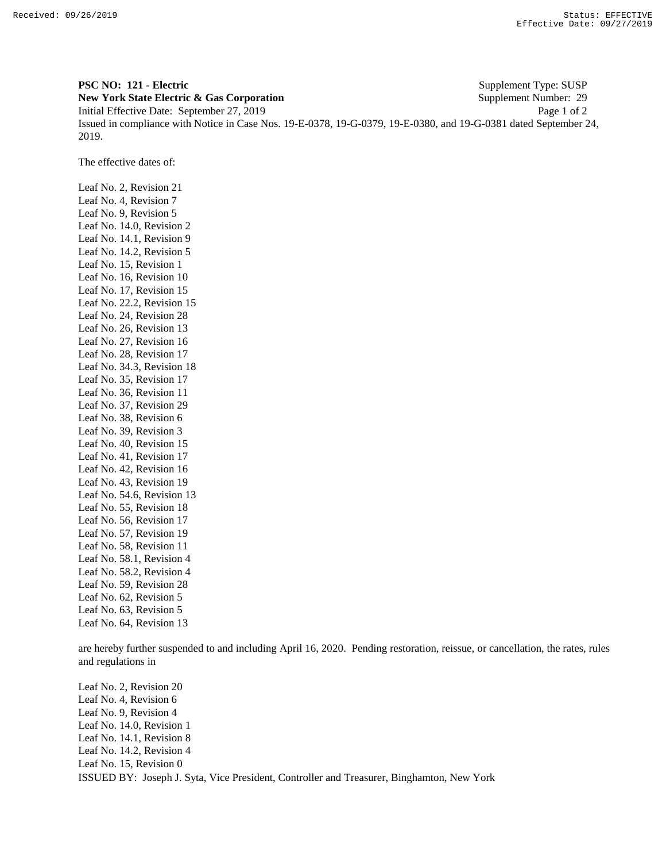**PSC NO: 121 - Electric** Supplement Type: SUSP **New York State Electric & Gas Corporation** Supplement Number: 29 Initial Effective Date: September 27, 2019 Page 1 of 2 Issued in compliance with Notice in Case Nos. 19-E-0378, 19-G-0379, 19-E-0380, and 19-G-0381 dated September 24, 2019.

The effective dates of:

Leaf No. 2, Revision 21 Leaf No. 4, Revision 7 Leaf No. 9, Revision 5 Leaf No. 14.0, Revision 2 Leaf No. 14.1, Revision 9 Leaf No. 14.2, Revision 5 Leaf No. 15, Revision 1 Leaf No. 16, Revision 10 Leaf No. 17, Revision 15 Leaf No. 22.2, Revision 15 Leaf No. 24, Revision 28 Leaf No. 26, Revision 13 Leaf No. 27, Revision 16 Leaf No. 28, Revision 17 Leaf No. 34.3, Revision 18 Leaf No. 35, Revision 17 Leaf No. 36, Revision 11 Leaf No. 37, Revision 29 Leaf No. 38, Revision 6 Leaf No. 39, Revision 3 Leaf No. 40, Revision 15 Leaf No. 41, Revision 17 Leaf No. 42, Revision 16 Leaf No. 43, Revision 19 Leaf No. 54.6, Revision 13 Leaf No. 55, Revision 18 Leaf No. 56, Revision 17 Leaf No. 57, Revision 19 Leaf No. 58, Revision 11 Leaf No. 58.1, Revision 4 Leaf No. 58.2, Revision 4 Leaf No. 59, Revision 28 Leaf No. 62, Revision 5 Leaf No. 63, Revision 5 Leaf No. 64, Revision 13

are hereby further suspended to and including April 16, 2020. Pending restoration, reissue, or cancellation, the rates, rules and regulations in

ISSUED BY: Joseph J. Syta, Vice President, Controller and Treasurer, Binghamton, New York Leaf No. 2, Revision 20 Leaf No. 4, Revision 6 Leaf No. 9, Revision 4 Leaf No. 14.0, Revision 1 Leaf No. 14.1, Revision 8 Leaf No. 14.2, Revision 4 Leaf No. 15, Revision 0